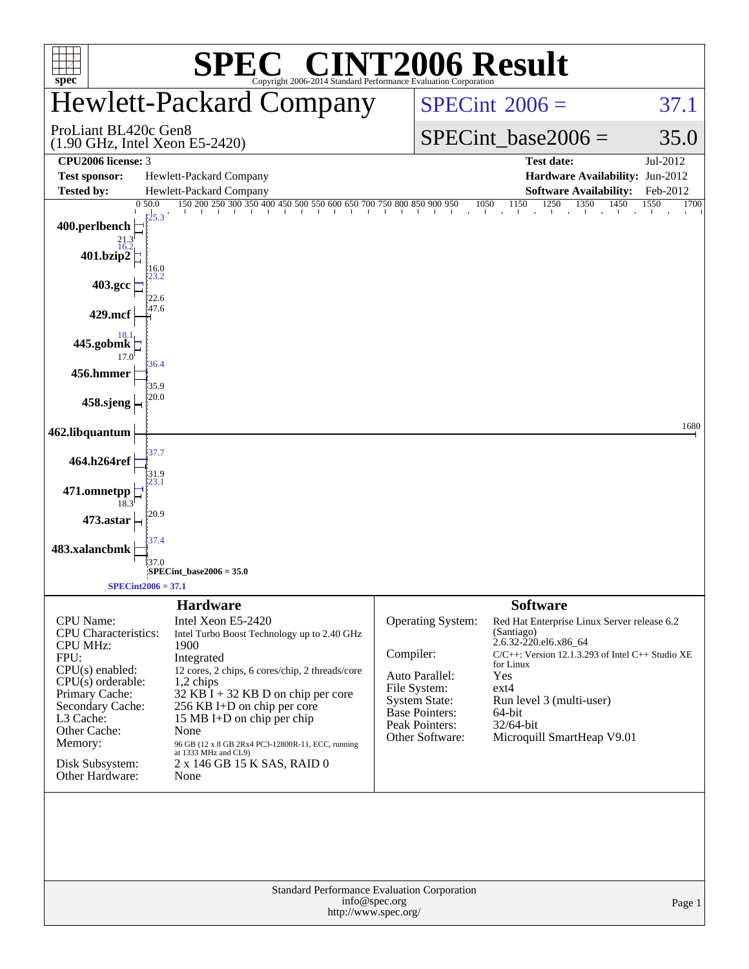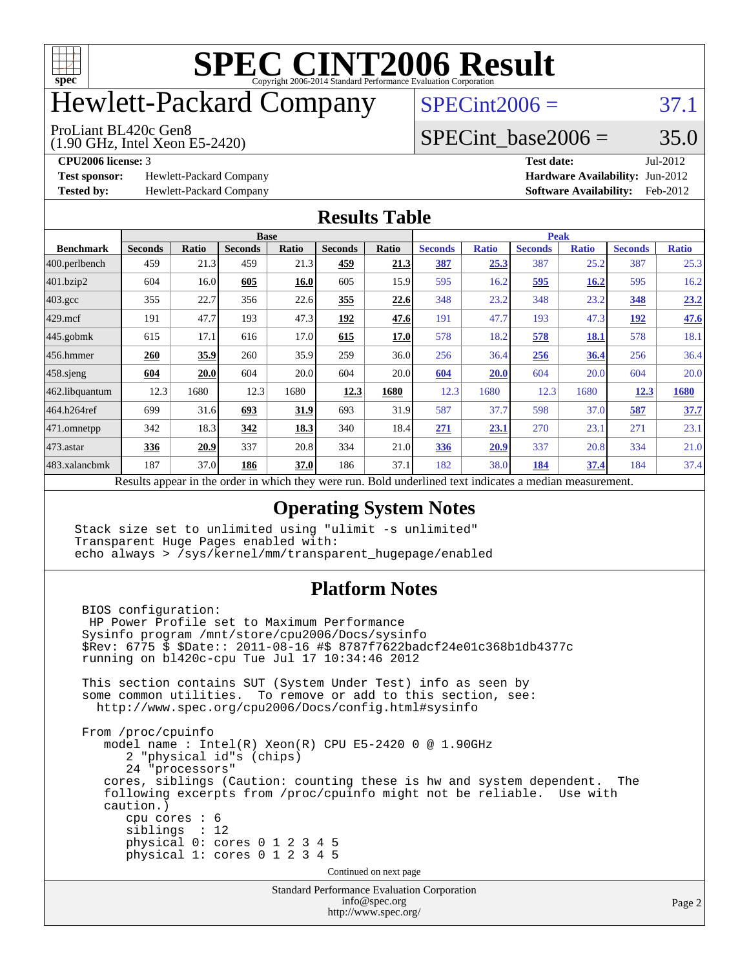

# Hewlett-Packard Company

#### ProLiant BL420c Gen8

(1.90 GHz, Intel Xeon E5-2420)

 $SPECint2006 = 37.1$  $SPECint2006 = 37.1$ 

#### SPECint base2006 =  $35.0$

**[Test sponsor:](http://www.spec.org/auto/cpu2006/Docs/result-fields.html#Testsponsor)** Hewlett-Packard Company **[Hardware Availability:](http://www.spec.org/auto/cpu2006/Docs/result-fields.html#HardwareAvailability)** Jun-2012

**[CPU2006 license:](http://www.spec.org/auto/cpu2006/Docs/result-fields.html#CPU2006license)** 3 **[Test date:](http://www.spec.org/auto/cpu2006/Docs/result-fields.html#Testdate)** Jul-2012 **[Tested by:](http://www.spec.org/auto/cpu2006/Docs/result-fields.html#Testedby)** Hewlett-Packard Company **[Software Availability:](http://www.spec.org/auto/cpu2006/Docs/result-fields.html#SoftwareAvailability)** Feb-2012

#### **[Results Table](http://www.spec.org/auto/cpu2006/Docs/result-fields.html#ResultsTable)**

| <b>Base</b>    |       |                |              |                | <b>Peak</b>  |                |                              |                |                              |                |              |
|----------------|-------|----------------|--------------|----------------|--------------|----------------|------------------------------|----------------|------------------------------|----------------|--------------|
| <b>Seconds</b> | Ratio | <b>Seconds</b> | <b>Ratio</b> | <b>Seconds</b> | Ratio        | <b>Seconds</b> | <b>Ratio</b>                 | <b>Seconds</b> | <b>Ratio</b>                 | <b>Seconds</b> | <b>Ratio</b> |
| 459            | 21.3  | 459            | 21.3         | 459            | <u> 21.3</u> | 387            | 25.3                         | 387            | 25.2                         | 387            | 25.3         |
| 604            | 16.0  | 605            | 16.0         | 605            | 15.9         | 595            |                              | 595            | 16.2                         | 595            | 16.2         |
| 355            | 22.7  | 356            | 22.6         | 355            | 22.6         | 348            | 23.2                         | 348            | 23.2                         | 348            | 23.2         |
| 191            | 47.7  | 193            | 47.3         | 192            | 47.6         | 191            | 47.7                         | 193            | 47.3                         | 192            | 47.6         |
| 615            | 17.1  | 616            | 17.0         | 615            | 17.0         | 578            |                              | 578            | <b>18.1</b>                  | 578            | 18.1         |
| 260            | 35.9  | 260            | 35.9         | 259            |              | 256            |                              | 256            | 36.4                         | 256            | 36.4         |
| 604            | 20.0  | 604            | 20.0         | 604            |              | 604            | 20.0                         | 604            | 20.0                         | 604            | 20.0         |
| 12.3           | 1680  | 12.3           | 1680         | 12.3           | 1680         | 12.3           | 1680                         | 12.3           | 1680                         | 12.3           | 1680         |
| 699            | 31.6  | 693            | 31.9         | 693            | 31.9         | 587            | 37.7                         | 598            |                              | 587            | 37.7         |
| 342            | 18.3  | 342            | 18.3         | 340            |              | 271            | 23.1                         | 270            | 23.1                         | 271            | 23.1         |
| 336            | 20.9  | 337            |              | 334            |              | 336            | 20.9                         | 337            | 20.8                         | 334            | 21.0         |
| 187            | 37.0  | 186            | 37.0         | 186            | 37.1         | 182            |                              | 184            | 37.4                         | 184            | 37.4         |
|                |       |                |              |                | 20.8         |                | 36.0<br>20.0<br>18.4<br>21.0 |                | 16.2<br>18.2<br>36.4<br>38.0 | 37.0           |              |

Results appear in the [order in which they were run.](http://www.spec.org/auto/cpu2006/Docs/result-fields.html#RunOrder) Bold underlined text [indicates a median measurement.](http://www.spec.org/auto/cpu2006/Docs/result-fields.html#Median)

#### **[Operating System Notes](http://www.spec.org/auto/cpu2006/Docs/result-fields.html#OperatingSystemNotes)**

Stack size set to unlimited using "ulimit -s unlimited" Transparent Huge Pages enabled with: echo always > /sys/kernel/mm/transparent\_hugepage/enabled

#### **[Platform Notes](http://www.spec.org/auto/cpu2006/Docs/result-fields.html#PlatformNotes)**

```
Standard Performance Evaluation Corporation
 BIOS configuration:
 HP Power Profile set to Maximum Performance
 Sysinfo program /mnt/store/cpu2006/Docs/sysinfo
 $Rev: 6775 $ $Date:: 2011-08-16 #$ 8787f7622badcf24e01c368b1db4377c
 running on bl420c-cpu Tue Jul 17 10:34:46 2012
 This section contains SUT (System Under Test) info as seen by
 some common utilities. To remove or add to this section, see:
  http://www.spec.org/cpu2006/Docs/config.html#sysinfo
 From /proc/cpuinfo
    model name : Intel(R) Xeon(R) CPU E5-2420 0 @ 1.90GHz
       2 "physical id"s (chips)
       24 "processors"
    cores, siblings (Caution: counting these is hw and system dependent. The
    following excerpts from /proc/cpuinfo might not be reliable. Use with
    caution.)
       cpu cores : 6
       siblings : 12
       physical 0: cores 0 1 2 3 4 5
       physical 1: cores 0 1 2 3 4 5
                                   Continued on next page
```
[info@spec.org](mailto:info@spec.org) <http://www.spec.org/>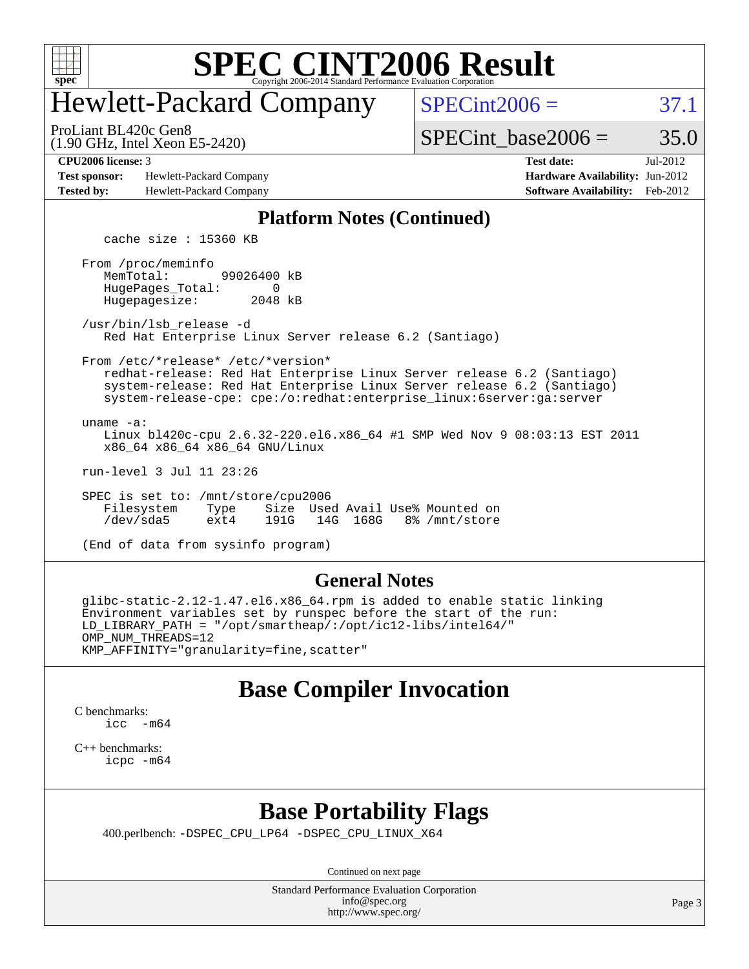

# Hewlett-Packard Company

ProLiant BL420c Gen8

 $SPECint2006 = 37.1$  $SPECint2006 = 37.1$ 

SPECint base2006 =  $35.0$ 

**[Test sponsor:](http://www.spec.org/auto/cpu2006/Docs/result-fields.html#Testsponsor)** Hewlett-Packard Company **[Hardware Availability:](http://www.spec.org/auto/cpu2006/Docs/result-fields.html#HardwareAvailability)** Jun-2012 **[Tested by:](http://www.spec.org/auto/cpu2006/Docs/result-fields.html#Testedby)** Hewlett-Packard Company **[Software Availability:](http://www.spec.org/auto/cpu2006/Docs/result-fields.html#SoftwareAvailability)** Feb-2012

(1.90 GHz, Intel Xeon E5-2420)

**[CPU2006 license:](http://www.spec.org/auto/cpu2006/Docs/result-fields.html#CPU2006license)** 3 **[Test date:](http://www.spec.org/auto/cpu2006/Docs/result-fields.html#Testdate)** Jul-2012

#### **[Platform Notes \(Continued\)](http://www.spec.org/auto/cpu2006/Docs/result-fields.html#PlatformNotes)**

cache size : 15360 KB

 From /proc/meminfo MemTotal: 99026400 kB HugePages\_Total: 0<br>Hugepagesize: 2048 kB Hugepagesize:

 /usr/bin/lsb\_release -d Red Hat Enterprise Linux Server release 6.2 (Santiago)

 From /etc/\*release\* /etc/\*version\* redhat-release: Red Hat Enterprise Linux Server release 6.2 (Santiago)

 system-release: Red Hat Enterprise Linux Server release 6.2 (Santiago) system-release-cpe: cpe:/o:redhat:enterprise\_linux:6server:ga:server

uname -a:

 Linux bl420c-cpu 2.6.32-220.el6.x86\_64 #1 SMP Wed Nov 9 08:03:13 EST 2011 x86\_64 x86\_64 x86\_64 GNU/Linux

run-level 3 Jul 11 23:26

 SPEC is set to: /mnt/store/cpu2006 Filesystem Type Size Used Avail Use% Mounted on /dev/sda5 ext4 191G 14G 168G 8% /mnt/store

(End of data from sysinfo program)

#### **[General Notes](http://www.spec.org/auto/cpu2006/Docs/result-fields.html#GeneralNotes)**

 glibc-static-2.12-1.47.el6.x86\_64.rpm is added to enable static linking Environment variables set by runspec before the start of the run: LD\_LIBRARY\_PATH = "/opt/smartheap/:/opt/ic12-libs/intel64/" OMP\_NUM\_THREADS=12 KMP\_AFFINITY="granularity=fine,scatter"

#### **[Base Compiler Invocation](http://www.spec.org/auto/cpu2006/Docs/result-fields.html#BaseCompilerInvocation)**

[C benchmarks](http://www.spec.org/auto/cpu2006/Docs/result-fields.html#Cbenchmarks): [icc -m64](http://www.spec.org/cpu2006/results/res2012q3/cpu2006-20120813-24228.flags.html#user_CCbase_intel_icc_64bit_f346026e86af2a669e726fe758c88044)

[C++ benchmarks:](http://www.spec.org/auto/cpu2006/Docs/result-fields.html#CXXbenchmarks) [icpc -m64](http://www.spec.org/cpu2006/results/res2012q3/cpu2006-20120813-24228.flags.html#user_CXXbase_intel_icpc_64bit_fc66a5337ce925472a5c54ad6a0de310)

### **[Base Portability Flags](http://www.spec.org/auto/cpu2006/Docs/result-fields.html#BasePortabilityFlags)**

400.perlbench: [-DSPEC\\_CPU\\_LP64](http://www.spec.org/cpu2006/results/res2012q3/cpu2006-20120813-24228.flags.html#b400.perlbench_basePORTABILITY_DSPEC_CPU_LP64) [-DSPEC\\_CPU\\_LINUX\\_X64](http://www.spec.org/cpu2006/results/res2012q3/cpu2006-20120813-24228.flags.html#b400.perlbench_baseCPORTABILITY_DSPEC_CPU_LINUX_X64)

Continued on next page

Standard Performance Evaluation Corporation [info@spec.org](mailto:info@spec.org) <http://www.spec.org/>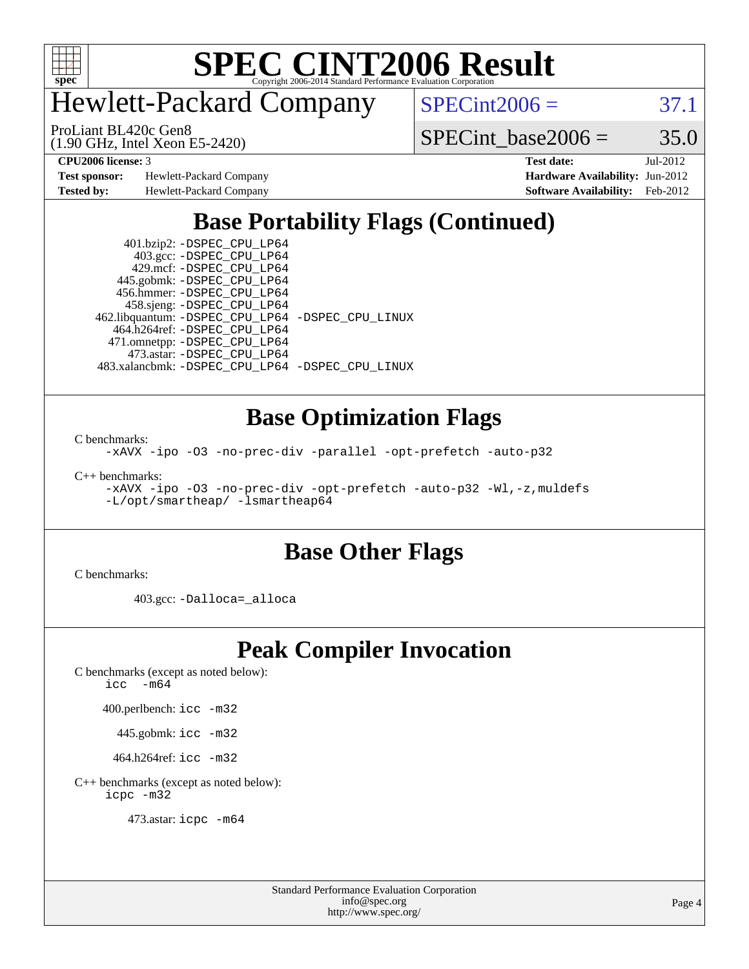

Hewlett-Packard Company

 $SPECint2006 = 37.1$  $SPECint2006 = 37.1$ 

(1.90 GHz, Intel Xeon E5-2420) ProLiant BL420c Gen8

SPECint base2006 =  $35.0$ 

**[Test sponsor:](http://www.spec.org/auto/cpu2006/Docs/result-fields.html#Testsponsor)** Hewlett-Packard Company **[Hardware Availability:](http://www.spec.org/auto/cpu2006/Docs/result-fields.html#HardwareAvailability)** Jun-2012 **[Tested by:](http://www.spec.org/auto/cpu2006/Docs/result-fields.html#Testedby)** Hewlett-Packard Company **[Software Availability:](http://www.spec.org/auto/cpu2006/Docs/result-fields.html#SoftwareAvailability)** Feb-2012

**[CPU2006 license:](http://www.spec.org/auto/cpu2006/Docs/result-fields.html#CPU2006license)** 3 **[Test date:](http://www.spec.org/auto/cpu2006/Docs/result-fields.html#Testdate)** Jul-2012

## **[Base Portability Flags \(Continued\)](http://www.spec.org/auto/cpu2006/Docs/result-fields.html#BasePortabilityFlags)**

 401.bzip2: [-DSPEC\\_CPU\\_LP64](http://www.spec.org/cpu2006/results/res2012q3/cpu2006-20120813-24228.flags.html#suite_basePORTABILITY401_bzip2_DSPEC_CPU_LP64) 403.gcc: [-DSPEC\\_CPU\\_LP64](http://www.spec.org/cpu2006/results/res2012q3/cpu2006-20120813-24228.flags.html#suite_basePORTABILITY403_gcc_DSPEC_CPU_LP64) 429.mcf: [-DSPEC\\_CPU\\_LP64](http://www.spec.org/cpu2006/results/res2012q3/cpu2006-20120813-24228.flags.html#suite_basePORTABILITY429_mcf_DSPEC_CPU_LP64) 445.gobmk: [-DSPEC\\_CPU\\_LP64](http://www.spec.org/cpu2006/results/res2012q3/cpu2006-20120813-24228.flags.html#suite_basePORTABILITY445_gobmk_DSPEC_CPU_LP64) 456.hmmer: [-DSPEC\\_CPU\\_LP64](http://www.spec.org/cpu2006/results/res2012q3/cpu2006-20120813-24228.flags.html#suite_basePORTABILITY456_hmmer_DSPEC_CPU_LP64) 458.sjeng: [-DSPEC\\_CPU\\_LP64](http://www.spec.org/cpu2006/results/res2012q3/cpu2006-20120813-24228.flags.html#suite_basePORTABILITY458_sjeng_DSPEC_CPU_LP64) 462.libquantum: [-DSPEC\\_CPU\\_LP64](http://www.spec.org/cpu2006/results/res2012q3/cpu2006-20120813-24228.flags.html#suite_basePORTABILITY462_libquantum_DSPEC_CPU_LP64) [-DSPEC\\_CPU\\_LINUX](http://www.spec.org/cpu2006/results/res2012q3/cpu2006-20120813-24228.flags.html#b462.libquantum_baseCPORTABILITY_DSPEC_CPU_LINUX) 464.h264ref: [-DSPEC\\_CPU\\_LP64](http://www.spec.org/cpu2006/results/res2012q3/cpu2006-20120813-24228.flags.html#suite_basePORTABILITY464_h264ref_DSPEC_CPU_LP64) 471.omnetpp: [-DSPEC\\_CPU\\_LP64](http://www.spec.org/cpu2006/results/res2012q3/cpu2006-20120813-24228.flags.html#suite_basePORTABILITY471_omnetpp_DSPEC_CPU_LP64) 473.astar: [-DSPEC\\_CPU\\_LP64](http://www.spec.org/cpu2006/results/res2012q3/cpu2006-20120813-24228.flags.html#suite_basePORTABILITY473_astar_DSPEC_CPU_LP64) 483.xalancbmk: [-DSPEC\\_CPU\\_LP64](http://www.spec.org/cpu2006/results/res2012q3/cpu2006-20120813-24228.flags.html#suite_basePORTABILITY483_xalancbmk_DSPEC_CPU_LP64) [-DSPEC\\_CPU\\_LINUX](http://www.spec.org/cpu2006/results/res2012q3/cpu2006-20120813-24228.flags.html#b483.xalancbmk_baseCXXPORTABILITY_DSPEC_CPU_LINUX)

#### **[Base Optimization Flags](http://www.spec.org/auto/cpu2006/Docs/result-fields.html#BaseOptimizationFlags)**

[C benchmarks](http://www.spec.org/auto/cpu2006/Docs/result-fields.html#Cbenchmarks):

[-xAVX](http://www.spec.org/cpu2006/results/res2012q3/cpu2006-20120813-24228.flags.html#user_CCbase_f-xAVX) [-ipo](http://www.spec.org/cpu2006/results/res2012q3/cpu2006-20120813-24228.flags.html#user_CCbase_f-ipo) [-O3](http://www.spec.org/cpu2006/results/res2012q3/cpu2006-20120813-24228.flags.html#user_CCbase_f-O3) [-no-prec-div](http://www.spec.org/cpu2006/results/res2012q3/cpu2006-20120813-24228.flags.html#user_CCbase_f-no-prec-div) [-parallel](http://www.spec.org/cpu2006/results/res2012q3/cpu2006-20120813-24228.flags.html#user_CCbase_f-parallel) [-opt-prefetch](http://www.spec.org/cpu2006/results/res2012q3/cpu2006-20120813-24228.flags.html#user_CCbase_f-opt-prefetch) [-auto-p32](http://www.spec.org/cpu2006/results/res2012q3/cpu2006-20120813-24228.flags.html#user_CCbase_f-auto-p32)

[C++ benchmarks:](http://www.spec.org/auto/cpu2006/Docs/result-fields.html#CXXbenchmarks)

[-xAVX](http://www.spec.org/cpu2006/results/res2012q3/cpu2006-20120813-24228.flags.html#user_CXXbase_f-xAVX) [-ipo](http://www.spec.org/cpu2006/results/res2012q3/cpu2006-20120813-24228.flags.html#user_CXXbase_f-ipo) [-O3](http://www.spec.org/cpu2006/results/res2012q3/cpu2006-20120813-24228.flags.html#user_CXXbase_f-O3) [-no-prec-div](http://www.spec.org/cpu2006/results/res2012q3/cpu2006-20120813-24228.flags.html#user_CXXbase_f-no-prec-div) [-opt-prefetch](http://www.spec.org/cpu2006/results/res2012q3/cpu2006-20120813-24228.flags.html#user_CXXbase_f-opt-prefetch) [-auto-p32](http://www.spec.org/cpu2006/results/res2012q3/cpu2006-20120813-24228.flags.html#user_CXXbase_f-auto-p32) [-Wl,-z,muldefs](http://www.spec.org/cpu2006/results/res2012q3/cpu2006-20120813-24228.flags.html#user_CXXbase_link_force_multiple1_74079c344b956b9658436fd1b6dd3a8a) [-L/opt/smartheap/ -lsmartheap64](http://www.spec.org/cpu2006/results/res2012q3/cpu2006-20120813-24228.flags.html#user_CXXbase_SmartHeap64_244937be1c1b138aaa2dba0901d2367d)

### **[Base Other Flags](http://www.spec.org/auto/cpu2006/Docs/result-fields.html#BaseOtherFlags)**

[C benchmarks](http://www.spec.org/auto/cpu2006/Docs/result-fields.html#Cbenchmarks):

403.gcc: [-Dalloca=\\_alloca](http://www.spec.org/cpu2006/results/res2012q3/cpu2006-20120813-24228.flags.html#b403.gcc_baseEXTRA_CFLAGS_Dalloca_be3056838c12de2578596ca5467af7f3)

#### **[Peak Compiler Invocation](http://www.spec.org/auto/cpu2006/Docs/result-fields.html#PeakCompilerInvocation)**

[C benchmarks \(except as noted below\)](http://www.spec.org/auto/cpu2006/Docs/result-fields.html#Cbenchmarksexceptasnotedbelow): [icc -m64](http://www.spec.org/cpu2006/results/res2012q3/cpu2006-20120813-24228.flags.html#user_CCpeak_intel_icc_64bit_f346026e86af2a669e726fe758c88044)

400.perlbench: [icc -m32](http://www.spec.org/cpu2006/results/res2012q3/cpu2006-20120813-24228.flags.html#user_peakCCLD400_perlbench_intel_icc_a6a621f8d50482236b970c6ac5f55f93)

445.gobmk: [icc -m32](http://www.spec.org/cpu2006/results/res2012q3/cpu2006-20120813-24228.flags.html#user_peakCCLD445_gobmk_intel_icc_a6a621f8d50482236b970c6ac5f55f93)

464.h264ref: [icc -m32](http://www.spec.org/cpu2006/results/res2012q3/cpu2006-20120813-24228.flags.html#user_peakCCLD464_h264ref_intel_icc_a6a621f8d50482236b970c6ac5f55f93)

[C++ benchmarks \(except as noted below\):](http://www.spec.org/auto/cpu2006/Docs/result-fields.html#CXXbenchmarksexceptasnotedbelow) [icpc -m32](http://www.spec.org/cpu2006/results/res2012q3/cpu2006-20120813-24228.flags.html#user_CXXpeak_intel_icpc_4e5a5ef1a53fd332b3c49e69c3330699)

473.astar: [icpc -m64](http://www.spec.org/cpu2006/results/res2012q3/cpu2006-20120813-24228.flags.html#user_peakCXXLD473_astar_intel_icpc_64bit_fc66a5337ce925472a5c54ad6a0de310)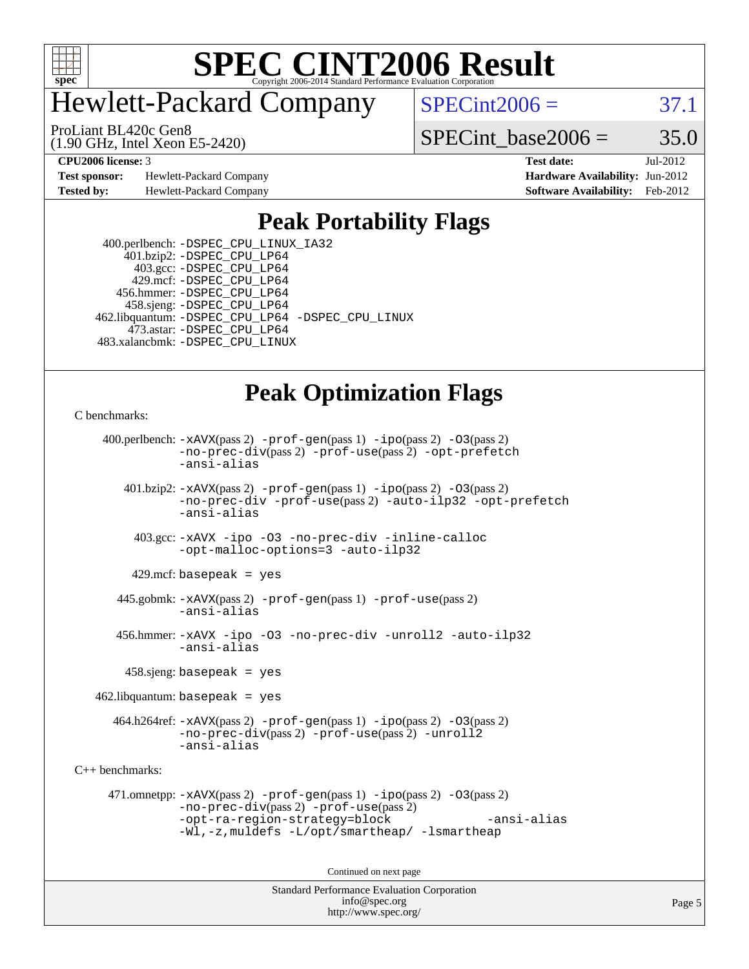

## Hewlett-Packard Company

 $SPECint2006 = 37.1$  $SPECint2006 = 37.1$ 

(1.90 GHz, Intel Xeon E5-2420) ProLiant BL420c Gen8

SPECint base2006 =  $35.0$ 

**[Test sponsor:](http://www.spec.org/auto/cpu2006/Docs/result-fields.html#Testsponsor)** Hewlett-Packard Company **[Hardware Availability:](http://www.spec.org/auto/cpu2006/Docs/result-fields.html#HardwareAvailability)** Jun-2012

**[CPU2006 license:](http://www.spec.org/auto/cpu2006/Docs/result-fields.html#CPU2006license)** 3 **[Test date:](http://www.spec.org/auto/cpu2006/Docs/result-fields.html#Testdate)** Jul-2012 **[Tested by:](http://www.spec.org/auto/cpu2006/Docs/result-fields.html#Testedby)** Hewlett-Packard Company **[Software Availability:](http://www.spec.org/auto/cpu2006/Docs/result-fields.html#SoftwareAvailability)** Feb-2012

#### **[Peak Portability Flags](http://www.spec.org/auto/cpu2006/Docs/result-fields.html#PeakPortabilityFlags)**

 400.perlbench: [-DSPEC\\_CPU\\_LINUX\\_IA32](http://www.spec.org/cpu2006/results/res2012q3/cpu2006-20120813-24228.flags.html#b400.perlbench_peakCPORTABILITY_DSPEC_CPU_LINUX_IA32) 401.bzip2: [-DSPEC\\_CPU\\_LP64](http://www.spec.org/cpu2006/results/res2012q3/cpu2006-20120813-24228.flags.html#suite_peakPORTABILITY401_bzip2_DSPEC_CPU_LP64) 403.gcc: [-DSPEC\\_CPU\\_LP64](http://www.spec.org/cpu2006/results/res2012q3/cpu2006-20120813-24228.flags.html#suite_peakPORTABILITY403_gcc_DSPEC_CPU_LP64) 429.mcf: [-DSPEC\\_CPU\\_LP64](http://www.spec.org/cpu2006/results/res2012q3/cpu2006-20120813-24228.flags.html#suite_peakPORTABILITY429_mcf_DSPEC_CPU_LP64) 456.hmmer: [-DSPEC\\_CPU\\_LP64](http://www.spec.org/cpu2006/results/res2012q3/cpu2006-20120813-24228.flags.html#suite_peakPORTABILITY456_hmmer_DSPEC_CPU_LP64) 458.sjeng: [-DSPEC\\_CPU\\_LP64](http://www.spec.org/cpu2006/results/res2012q3/cpu2006-20120813-24228.flags.html#suite_peakPORTABILITY458_sjeng_DSPEC_CPU_LP64) 462.libquantum: [-DSPEC\\_CPU\\_LP64](http://www.spec.org/cpu2006/results/res2012q3/cpu2006-20120813-24228.flags.html#suite_peakPORTABILITY462_libquantum_DSPEC_CPU_LP64) [-DSPEC\\_CPU\\_LINUX](http://www.spec.org/cpu2006/results/res2012q3/cpu2006-20120813-24228.flags.html#b462.libquantum_peakCPORTABILITY_DSPEC_CPU_LINUX) 473.astar: [-DSPEC\\_CPU\\_LP64](http://www.spec.org/cpu2006/results/res2012q3/cpu2006-20120813-24228.flags.html#suite_peakPORTABILITY473_astar_DSPEC_CPU_LP64) 483.xalancbmk: [-DSPEC\\_CPU\\_LINUX](http://www.spec.org/cpu2006/results/res2012q3/cpu2006-20120813-24228.flags.html#b483.xalancbmk_peakCXXPORTABILITY_DSPEC_CPU_LINUX)

## **[Peak Optimization Flags](http://www.spec.org/auto/cpu2006/Docs/result-fields.html#PeakOptimizationFlags)**

[C benchmarks](http://www.spec.org/auto/cpu2006/Docs/result-fields.html#Cbenchmarks):

```
 400.perlbench: -xAVX(pass 2) -prof-gen(pass 1) -ipo(pass 2) -O3(pass 2)
               -no-prec-div(pass 2) -prof-use(pass 2) -opt-prefetch
               -ansi-alias
        401.bzip2: -xAVX(pass 2) -prof-gen(pass 1) -ipo(pass 2) -O3(pass 2)
               -no-prec-div -prof-use(pass 2) -auto-ilp32 -opt-prefetch
               -ansi-alias
         403.gcc: -xAVX -ipo -O3 -no-prec-div -inline-calloc
               -opt-malloc-options=3 -auto-ilp32
        429.mcf: basepeak = yes
       445.gobmk: -xAVX(pass 2) -prof-gen(pass 1) -prof-use(pass 2)
               -ansi-alias
       456.hmmer: -xAVX -ipo -O3 -no-prec-div -unroll2 -auto-ilp32
               -ansi-alias
        458.sjeng: basepeak = yes
   462.libquantum: basepeak = yes
     -ipo(pass 2) -03(pass 2)-no-prec-div(pass 2) -prof-use(pass 2) -unroll2
               -ansi-alias
C++ benchmarks: 
      471.omnetpp: -xAVX(pass 2) -prof-gen(pass 1) -ipo(pass 2) -O3(pass 2)
               -no-prec-div(pass 2) -prof-use(pass 2)
               -opt-ra-region-strategy=block -ansi-alias
               -Wl,-z,muldefs -L/opt/smartheap/ -lsmartheap
                                     Continued on next page
```